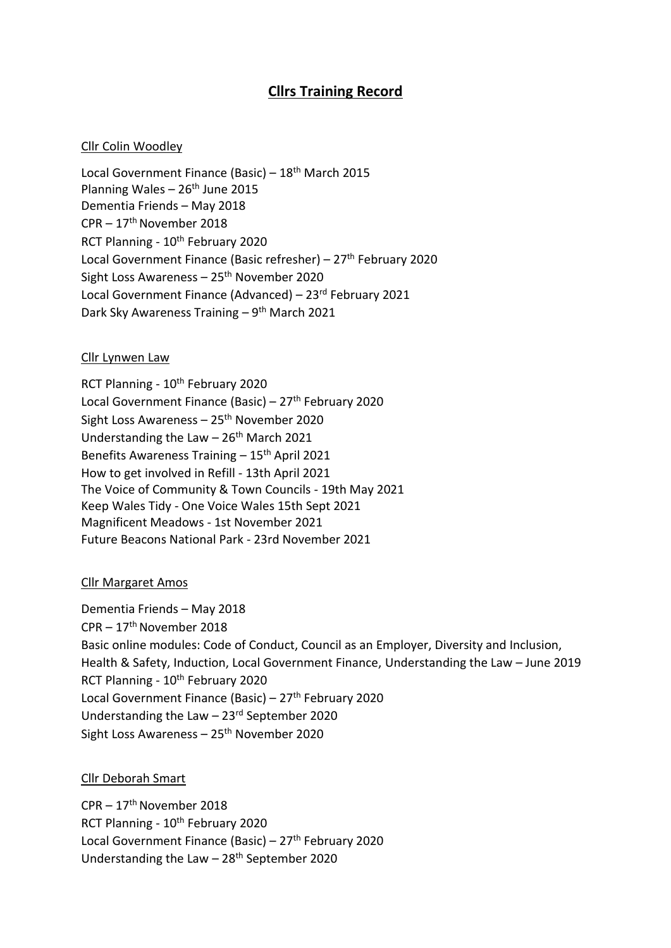# **Cllrs Training Record**

### Cllr Colin Woodley

Local Government Finance (Basic) – 18<sup>th</sup> March 2015 Planning Wales  $-26$ <sup>th</sup> June 2015 Dementia Friends – May 2018 CPR – 17th November 2018 RCT Planning - 10<sup>th</sup> February 2020 Local Government Finance (Basic refresher) – 27<sup>th</sup> February 2020 Sight Loss Awareness –  $25<sup>th</sup>$  November 2020 Local Government Finance (Advanced) – 23rd February 2021 Dark Sky Awareness Training - 9<sup>th</sup> March 2021

#### Cllr Lynwen Law

RCT Planning - 10<sup>th</sup> February 2020 Local Government Finance (Basic) – 27<sup>th</sup> February 2020 Sight Loss Awareness - 25<sup>th</sup> November 2020 Understanding the Law - 26<sup>th</sup> March 2021 Benefits Awareness Training  $-15$ <sup>th</sup> April 2021 How to get involved in Refill - 13th April 2021 The Voice of Community & Town Councils - 19th May 2021 Keep Wales Tidy - One Voice Wales 15th Sept 2021 Magnificent Meadows - 1st November 2021 Future Beacons National Park - 23rd November 2021

### Cllr Margaret Amos

Dementia Friends – May 2018 CPR – 17th November 2018 Basic online modules: Code of Conduct, Council as an Employer, Diversity and Inclusion, Health & Safety, Induction, Local Government Finance, Understanding the Law – June 2019 RCT Planning - 10<sup>th</sup> February 2020 Local Government Finance (Basic) – 27<sup>th</sup> February 2020 Understanding the Law  $-23$ <sup>rd</sup> September 2020 Sight Loss Awareness –  $25<sup>th</sup>$  November 2020

### Cllr Deborah Smart

CPR – 17th November 2018 RCT Planning - 10<sup>th</sup> February 2020 Local Government Finance (Basic) –  $27<sup>th</sup>$  February 2020 Understanding the Law  $-28$ <sup>th</sup> September 2020